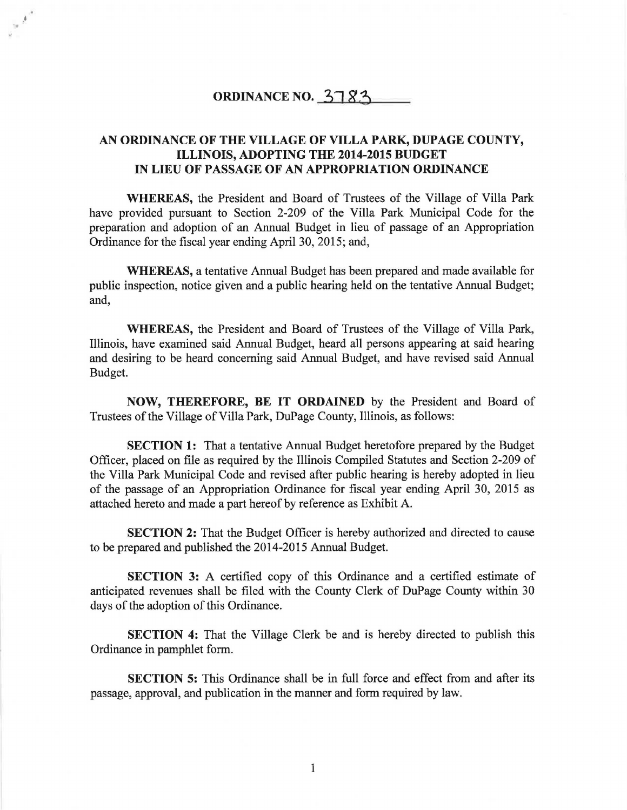## ORDINANCE NO.  $3783$

'•

## AN ORDINANCE OF THE VILLAGE OF VILLA PARK, DUPAGE COUNTY, ILLINOIS, ADOPTING THE 2014-2015 BUDGET IN LIEU OF PASSAGE OF AN APPROPRIATION ORDINANCE

WHEREAS, the President and Board of Trustees of the Village of Villa Park have provided pursuant to Section 2-209 of the Villa Park Municipal Code for the preparation and adoption of an Annual Budget in lieu of passage of an Appropriation Ordinance for the fiscal year ending April 30, 2015; and,

WHEREAS, a tentative Annual Budget has been prepared and made available for public inspection, notice given and a public hearing held on the tentative Annual Budget; and,

WHEREAS, the President and Board of Trustees of the Village of Villa Park, Illinois, have examined said Annual Budget, heard all persons appearing at said hearing and desiring to be heard concerning said Annual Budget, and have revised said Annual Budget.

NOW, THEREFORE, BE IT ORDAINED by the President and Board of Trustees of the Village of Villa Park, DuPage County, Illinois, as follows:

SECTION 1: That a tentative Annual Budget heretofore prepared by the Budget Officer, placed on file as required by the Illinois Compiled Statutes and Section 2-209 of the Villa Park Municipal Code and revised after public hearing is hereby adopted in lieu of the passage of an Appropriation Ordinance for fiscal year ending April 30, 2015 as attached hereto and made a part hereof by reference as Exhibit A.

SECTION 2: That the Budget Officer is hereby authorized and directed to cause to be prepared and published the 2014-2015 Annual Budget.

SECTION 3: A certified copy of this Ordinance and a certified estimate of anticipated revenues shall be filed with the County Clerk of DuPage County within 30 days of the adoption of this Ordinance.

SECTION 4: That the Village Clerk be and is hereby directed to publish this Ordinance in pamphlet form.

SECTION 5: This Ordinance shall be in full force and effect from and after its passage, approval, and publication in the manner and form required by law.

1